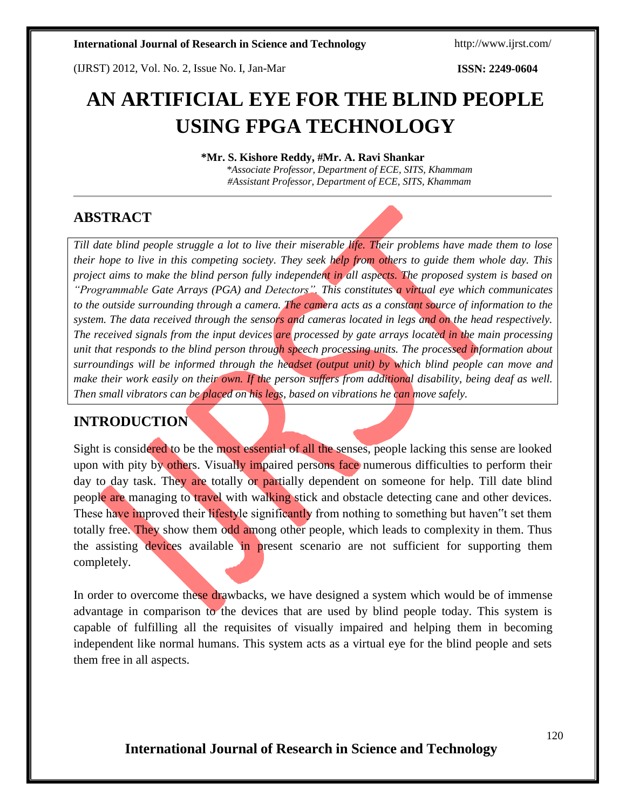(IJRST) 2012, Vol. No. 2, Issue No. I, Jan-Mar **ISSN: 2249-0604**

# **AN ARTIFICIAL EYE FOR THE BLIND PEOPLE USING FPGA TECHNOLOGY**

**\*Mr. S. Kishore Reddy, #Mr. A. Ravi Shankar**

*\*Associate Professor, Department of ECE, SITS, Khammam #Assistant Professor, Department of ECE, SITS, Khammam*

## **ABSTRACT**

*Till date blind people struggle a lot to live their miserable life. Their problems have made them to lose their hope to live in this competing society. They seek help from others to guide them whole day. This project aims to make the blind person fully independent in all aspects. The proposed system is based on "Programmable Gate Arrays (PGA) and Detectors". This constitutes a virtual eye which communicates to the outside surrounding through a camera. The camera acts as a constant source of information to the system. The data received through the sensors and cameras located in legs and on the head respectively. The received signals from the input devices are processed by gate arrays located in the main processing unit that responds to the blind person through speech processing units. The processed information about surroundings will be informed through the headset (output unit) by which blind people can move and make their work easily on their own. If the person suffers from additional disability, being deaf as well. Then small vibrators can be placed on his legs, based on vibrations he can move safely.*

## **INTRODUCTION**

Sight is considered to be the most essential of all the senses, people lacking this sense are looked upon with pity by others. Visually impaired persons face numerous difficulties to perform their day to day task. They are totally or partially dependent on someone for help. Till date blind people are managing to travel with walking stick and obstacle detecting cane and other devices. These have improved their lifestyle significantly from nothing to something but haven"t set them totally free. They show them odd among other people, which leads to complexity in them. Thus the assisting devices available in present scenario are not sufficient for supporting them completely.

In order to overcome these drawbacks, we have designed a system which would be of immense advantage in comparison to the devices that are used by blind people today. This system is capable of fulfilling all the requisites of visually impaired and helping them in becoming independent like normal humans. This system acts as a virtual eye for the blind people and sets them free in all aspects.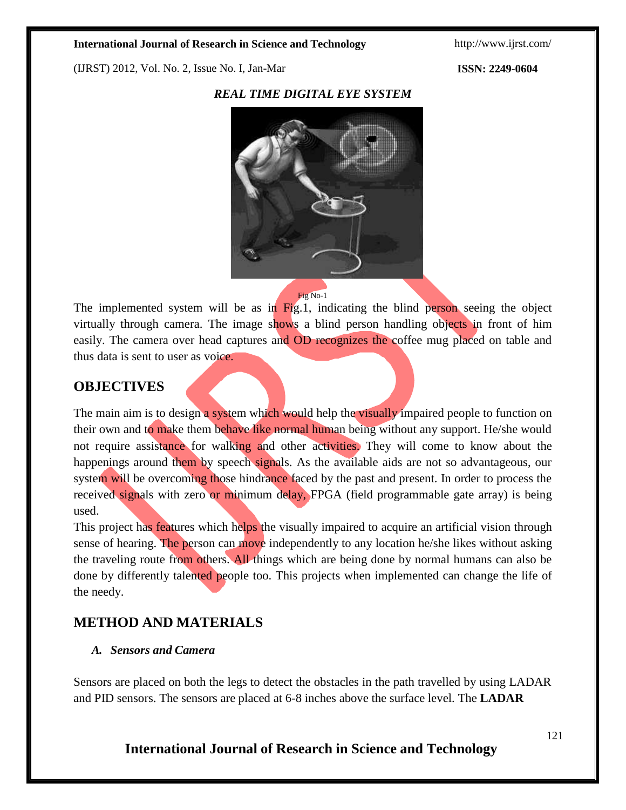(IJRST) 2012, Vol. No. 2, Issue No. I, Jan-Mar **ISSN: 2249-0604**

### *REAL TIME DIGITAL EYE SYSTEM*



#### Fig No-1

The implemented system will be as in Fig.1, indicating the blind person seeing the object virtually through camera. The image shows a blind person handling objects in front of him easily. The camera over head captures and OD recognizes the coffee mug placed on table and thus data is sent to user as voice.

## **OBJECTIVES**

The main aim is to design a system which would help the visually impaired people to function on their own and to make them behave like normal human being without any support. He/she would not require assistance for walking and other activities. They will come to know about the happenings around them by speech signals. As the available aids are not so advantageous, our system will be overcoming those hindrance faced by the past and present. In order to process the received signals with zero or minimum delay, FPGA (field programmable gate array) is being used.

This project has features which helps the visually impaired to acquire an artificial vision through sense of hearing. The person can move independently to any location he/she likes without asking the traveling route from others. All things which are being done by normal humans can also be done by differently talented people too. This projects when implemented can change the life of the needy.

## **METHOD AND MATERIALS**

### *A. Sensors and Camera*

Sensors are placed on both the legs to detect the obstacles in the path travelled by using LADAR and PID sensors. The sensors are placed at 6-8 inches above the surface level. The **LADAR**

## **International Journal of Research in Science and Technology**

121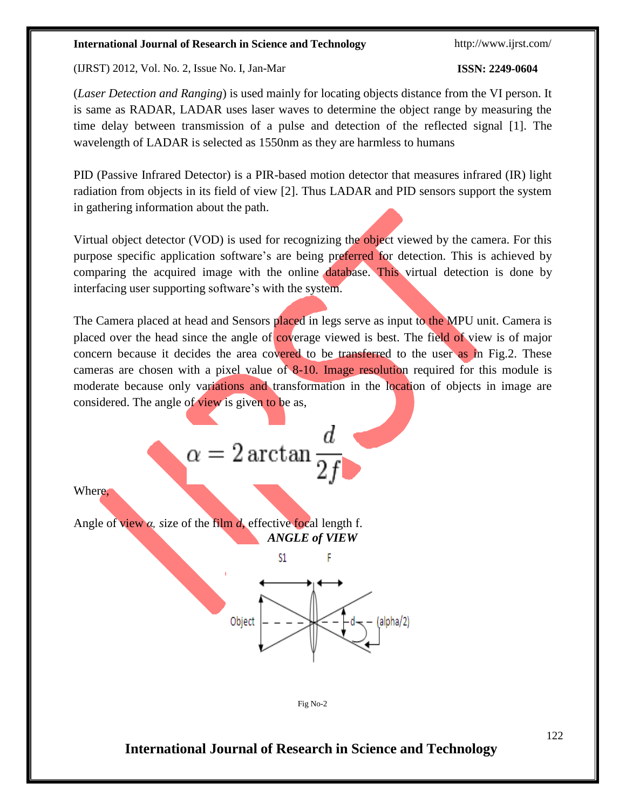(IJRST) 2012, Vol. No. 2, Issue No. I, Jan-Mar **ISSN: 2249-0604**

(*Laser Detection and Ranging*) is used mainly for locating objects distance from the VI person. It is same as RADAR, LADAR uses laser waves to determine the object range by measuring the time delay between transmission of a pulse and detection of the reflected signal [1]. The wavelength of LADAR is selected as 1550nm as they are harmless to humans

PID (Passive Infrared Detector) is a PIR-based motion detector that measures infrared (IR) light radiation from objects in its field of view [2]. Thus LADAR and PID sensors support the system in gathering information about the path.

Virtual object detector (VOD) is used for recognizing the object viewed by the camera. For this purpose specific application software's are being preferred for detection. This is achieved by comparing the acquired image with the online database. This virtual detection is done by interfacing user supporting software's with the system.

The Camera placed at head and Sensors placed in legs serve as input to the MPU unit. Camera is placed over the head since the angle of coverage viewed is best. The field of view is of major concern because it decides the area covered to be transferred to the user as in Fig.2. These cameras are chosen with a pixel value of 8-10. Image resolution required for this module is moderate because only variations and transformation in the location of objects in image are considered. The angle of view is given to be as,

Where,

Angle of view *α, s*ize of the film *d*, effective focal length f. *ANGLE of VIEW*

 $\alpha = 2 \arctan \frac{1}{2}$ 



Fig No-2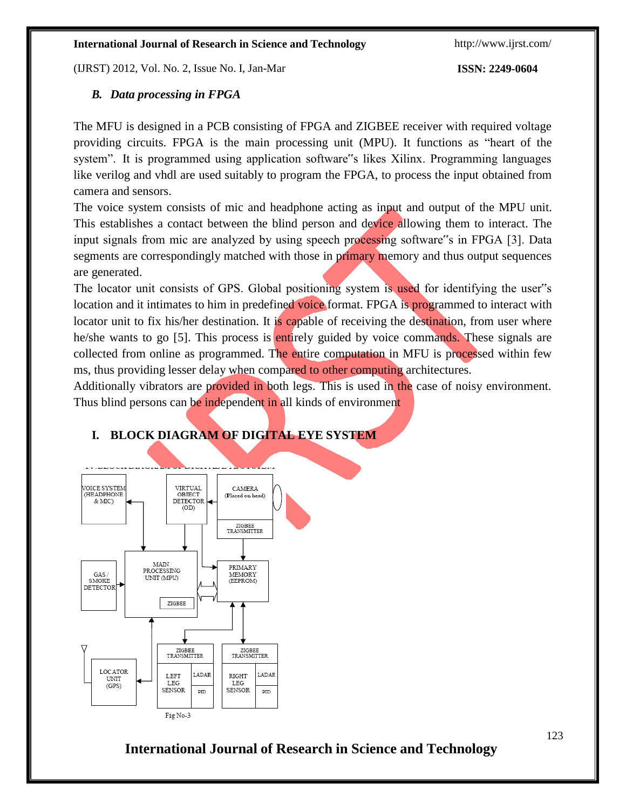(IJRST) 2012, Vol. No. 2, Issue No. I, Jan-Mar **ISSN: 2249-0604**

## *B. Data processing in FPGA*

The MFU is designed in a PCB consisting of FPGA and ZIGBEE receiver with required voltage providing circuits. FPGA is the main processing unit (MPU). It functions as "heart of the system". It is programmed using application software"s likes Xilinx. Programming languages like verilog and vhdl are used suitably to program the FPGA, to process the input obtained from camera and sensors.

The voice system consists of mic and headphone acting as input and output of the MPU unit. This establishes a contact between the blind person and device allowing them to interact. The input signals from mic are analyzed by using speech processing software"s in FPGA [3]. Data segments are correspondingly matched with those in primary memory and thus output sequences are generated.

The locator unit consists of GPS. Global positioning system is used for identifying the user"s location and it intimates to him in predefined voice format. FPGA is programmed to interact with locator unit to fix his/her destination. It is capable of receiving the destination, from user where he/she wants to go [5]. This process is entirely guided by voice commands. These signals are collected from online as programmed. The entire computation in MFU is processed within few ms, thus providing lesser delay when compared to other computing architectures.

Additionally vibrators are provided in both legs. This is used in the case of noisy environment. Thus blind persons can be independent in all kinds of environment



## **I. BLOCK DIAGRAM OF DIGITAL EYE SYSTEM**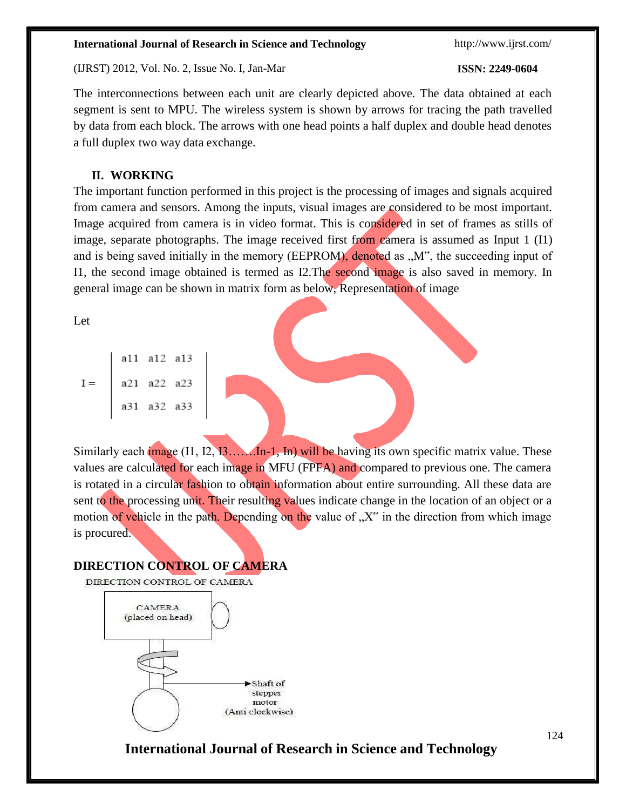(IJRST) 2012, Vol. No. 2, Issue No. I, Jan-Mar **ISSN: 2249-0604**

The interconnections between each unit are clearly depicted above. The data obtained at each segment is sent to MPU. The wireless system is shown by arrows for tracing the path travelled by data from each block. The arrows with one head points a half duplex and double head denotes a full duplex two way data exchange.

### **II. WORKING**

The important function performed in this project is the processing of images and signals acquired from camera and sensors. Among the inputs, visual images are considered to be most important. Image acquired from camera is in video format. This is considered in set of frames as stills of image, separate photographs. The image received first from camera is assumed as Input 1 (I1) and is being saved initially in the memory (EEPROM), denoted as "M", the succeeding input of I1, the second image obtained is termed as I2.The second image is also saved in memory. In general image can be shown in matrix form as below, Representation of image

Let

|       |             | a11 a12 a13 |  |
|-------|-------------|-------------|--|
| $I =$ | a21 a22 a23 |             |  |
|       |             | a31 a32 a33 |  |

Similarly each image  $(11, 12, 13, \ldots, 1n-1,$  In) will be having its own specific matrix value. These values are calculated for each image in MFU (FPFA) and compared to previous one. The camera is rotated in a circular fashion to obtain information about entire surrounding. All these data are sent to the processing unit. Their resulting values indicate change in the location of an object or a motion of vehicle in the path. Depending on the value of  $X^{\prime\prime}$  in the direction from which image is procured.

### **DIRECTION CONTROL OF CAMERA**

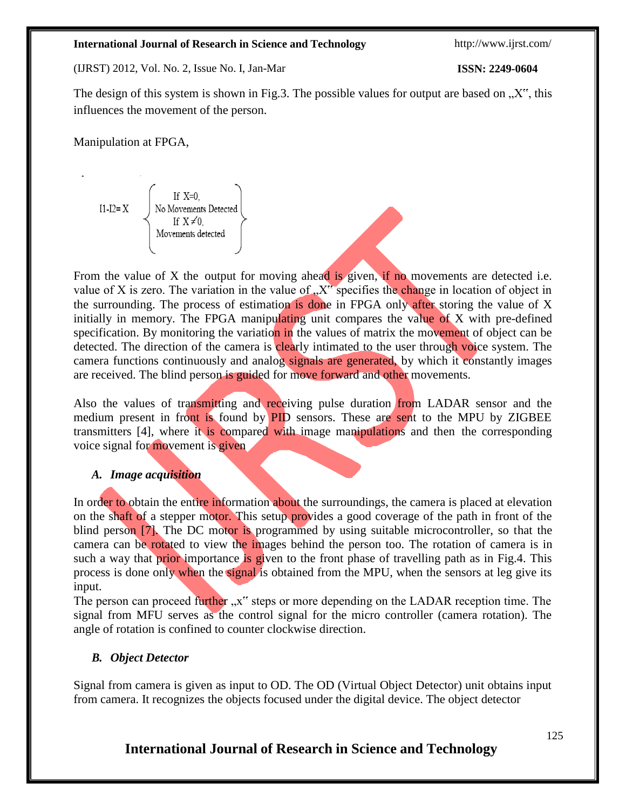(IJRST) 2012, Vol. No. 2, Issue No. I, Jan-Mar **ISSN: 2249-0604**

The design of this system is shown in Fig.3. The possible values for output are based on  $\mathcal{X}$ , this influences the movement of the person.

Manipulation at FPGA,

$$
I1-I2=X
$$
\n
$$
\begin{cases}\n\text{If } X=0, \\
\text{No Movements Detected} \\
\text{If } X \neq 0, \\
\text{Movements detected}\n\end{cases}
$$

From the value of X the output for moving ahead is given, if no movements are detected i.e. value of X is zero. The variation in the value of  $\chi$ <sup>x\*</sup> specifies the change in location of object in the surrounding. The process of estimation is done in FPGA only after storing the value of X initially in memory. The FPGA manipulating unit compares the value of X with pre-defined specification. By monitoring the variation in the values of matrix the movement of object can be detected. The direction of the camera is clearly intimated to the user through voice system. The camera functions continuously and analog signals are generated, by which it constantly images are received. The blind person is guided for move forward and other movements.

Also the values of transmitting and receiving pulse duration from LADAR sensor and the medium present in front is found by **PID** sensors. These are sent to the MPU by ZIGBEE transmitters [4], where it is compared with image manipulations and then the corresponding voice signal for movement is given

### *A. Image acquisition*

In order to obtain the entire information about the surroundings, the camera is placed at elevation on the shaft of a stepper motor. This setup provides a good coverage of the path in front of the blind person [7]. The DC motor is programmed by using suitable microcontroller, so that the camera can be rotated to view the images behind the person too. The rotation of camera is in such a way that prior importance is given to the front phase of travelling path as in Fig.4. This process is done only when the signal is obtained from the MPU, when the sensors at leg give its input.

The person can proceed further "x" steps or more depending on the LADAR reception time. The signal from MFU serves as the control signal for the micro controller (camera rotation). The angle of rotation is confined to counter clockwise direction.

### *B. Object Detector*

Signal from camera is given as input to OD. The OD (Virtual Object Detector) unit obtains input from camera. It recognizes the objects focused under the digital device. The object detector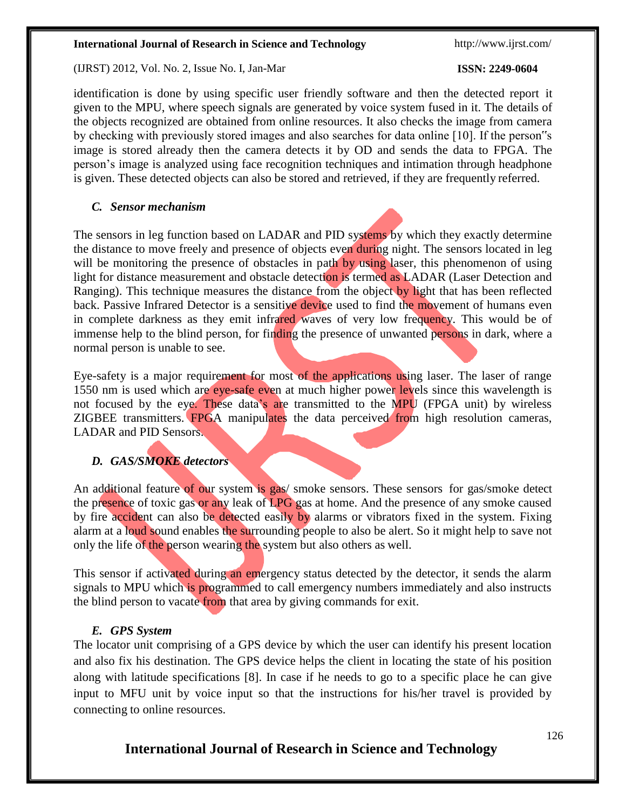(IJRST) 2012, Vol. No. 2, Issue No. I, Jan-Mar **ISSN: 2249-0604**

identification is done by using specific user friendly software and then the detected report it given to the MPU, where speech signals are generated by voice system fused in it. The details of the objects recognized are obtained from online resources. It also checks the image from camera by checking with previously stored images and also searches for data online [10]. If the person"s image is stored already then the camera detects it by OD and sends the data to FPGA. The person's image is analyzed using face recognition techniques and intimation through headphone is given. These detected objects can also be stored and retrieved, if they are frequently referred.

### *C. Sensor mechanism*

The sensors in leg function based on LADAR and PID systems by which they exactly determine the distance to move freely and presence of objects even during night. The sensors located in leg will be monitoring the presence of obstacles in path by using laser, this phenomenon of using light for distance measurement and obstacle detection is termed as LADAR (Laser Detection and Ranging). This technique measures the distance from the object by light that has been reflected back. Passive Infrared Detector is a sensitive device used to find the movement of humans even in complete darkness as they emit infrared waves of very low frequency. This would be of immense help to the blind person, for finding the presence of unwanted persons in dark, where a normal person is unable to see.

Eye-safety is a major requirement for most of the applications using laser. The laser of range 1550 nm is used which are eye-safe even at much higher power levels since this wavelength is not focused by the eye. These data's are transmitted to the MPU (FPGA unit) by wireless ZIGBEE transmitters. FPGA manipulates the data perceived from high resolution cameras, LADAR and PID Sensors.

### *D. GAS/SMOKE detectors*

An additional feature of our system is gas/ smoke sensors. These sensors for gas/smoke detect the presence of toxic gas or any leak of LPG gas at home. And the presence of any smoke caused by fire accident can also be detected easily by alarms or vibrators fixed in the system. Fixing alarm at a loud sound enables the surrounding people to also be alert. So it might help to save not only the life of the person wearing the system but also others as well.

This sensor if activated during an emergency status detected by the detector, it sends the alarm signals to MPU which is programmed to call emergency numbers immediately and also instructs the blind person to vacate from that area by giving commands for exit.

### *E. GPS System*

The locator unit comprising of a GPS device by which the user can identify his present location and also fix his destination. The GPS device helps the client in locating the state of his position along with latitude specifications [8]. In case if he needs to go to a specific place he can give input to MFU unit by voice input so that the instructions for his/her travel is provided by connecting to online resources.

## **International Journal of Research in Science and Technology**

126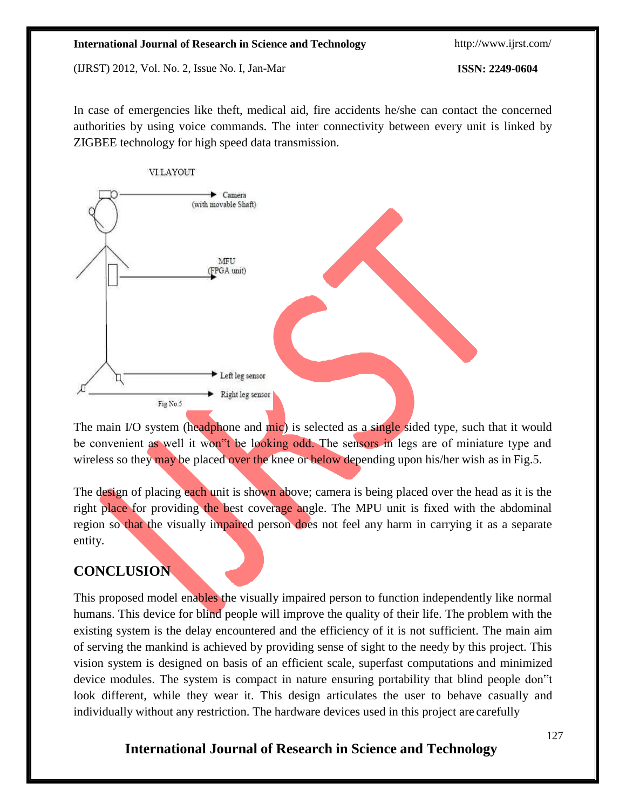(IJRST) 2012, Vol. No. 2, Issue No. I, Jan-Mar **ISSN: 2249-0604**

In case of emergencies like theft, medical aid, fire accidents he/she can contact the concerned authorities by using voice commands. The inter connectivity between every unit is linked by ZIGBEE technology for high speed data transmission.



The main I/O system (headphone and mic) is selected as a single sided type, such that it would be convenient as well it won<sup>th</sup> be looking odd. The sensors in legs are of miniature type and wireless so they may be placed over the knee or below depending upon his/her wish as in Fig.5.

The design of placing each unit is shown above; camera is being placed over the head as it is the right place for providing the best coverage angle. The MPU unit is fixed with the abdominal region so that the visually impaired person does not feel any harm in carrying it as a separate entity.

## **CONCLUSION**

This proposed model enables the visually impaired person to function independently like normal humans. This device for blind people will improve the quality of their life. The problem with the existing system is the delay encountered and the efficiency of it is not sufficient. The main aim of serving the mankind is achieved by providing sense of sight to the needy by this project. This vision system is designed on basis of an efficient scale, superfast computations and minimized device modules. The system is compact in nature ensuring portability that blind people don"t look different, while they wear it. This design articulates the user to behave casually and individually without any restriction. The hardware devices used in this project are carefully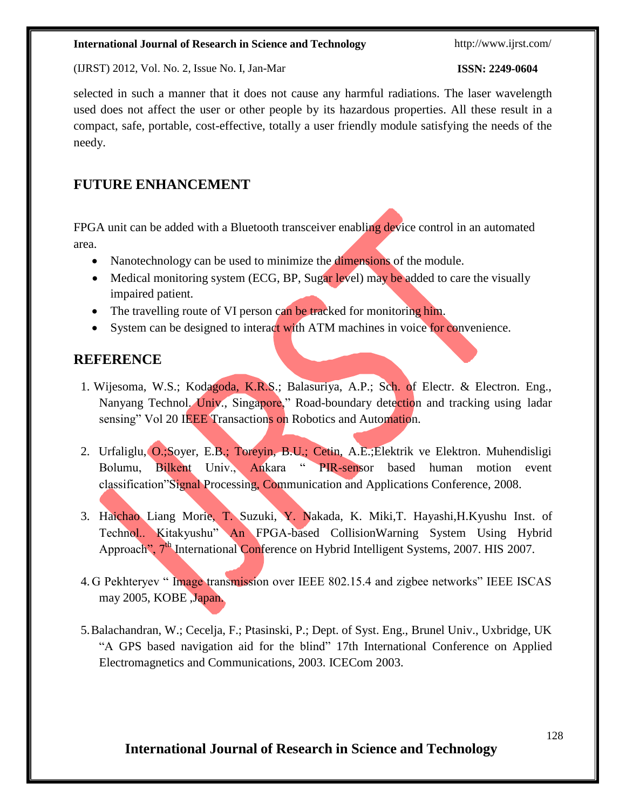(IJRST) 2012, Vol. No. 2, Issue No. I, Jan-Mar **ISSN: 2249-0604**

selected in such a manner that it does not cause any harmful radiations. The laser wavelength used does not affect the user or other people by its hazardous properties. All these result in a compact, safe, portable, cost-effective, totally a user friendly module satisfying the needs of the needy.

## **FUTURE ENHANCEMENT**

FPGA unit can be added with a Bluetooth transceiver enabling device control in an automated area.

- Nanotechnology can be used to minimize the **dimensions** of the module.
- Medical monitoring system (ECG, BP, Sugar level) may be added to care the visually impaired patient.
- The travelling route of VI person can be tracked for monitoring him.
- System can be designed to interact with ATM machines in voice for convenience.

## **REFERENCE**

- 1. Wijesoma, W.S.; Kodagoda, K.R.S.; Balasuriya, A.P.; Sch. of Electr. & Electron. Eng., Nanyang Technol. Univ., Singapore," Road-boundary detection and tracking using ladar sensing" Vol 20 IEEE Transactions on Robotics and Automation.
- 2. Urfaliglu, O.;Soyer, E.B.; Toreyin, B.U.; Cetin, A.E.;Elektrik ve Elektron. Muhendisligi Bolumu, Bilkent Univ., Ankara " PIR-sensor based human motion event classification"Signal Processing, Communication and Applications Conference, 2008.
- 3. Haichao Liang Morie, T. Suzuki, Y. Nakada, K. Miki,T. Hayashi,H.Kyushu Inst. of Technol.. Kitakyushu" An FPGA-based CollisionWarning System Using Hybrid Approach", 7<sup>th</sup> International Conference on Hybrid Intelligent Systems, 2007. HIS 2007.
- 4. G Pekhteryev " Image transmission over IEEE 802.15.4 and zigbee networks" IEEE ISCAS may 2005, KOBE ,Japan.
- 5.Balachandran, W.; Cecelja, F.; Ptasinski, P.; Dept. of Syst. Eng., Brunel Univ., Uxbridge, UK "A GPS based navigation aid for the blind" 17th International Conference on Applied Electromagnetics and Communications, 2003. ICECom 2003.